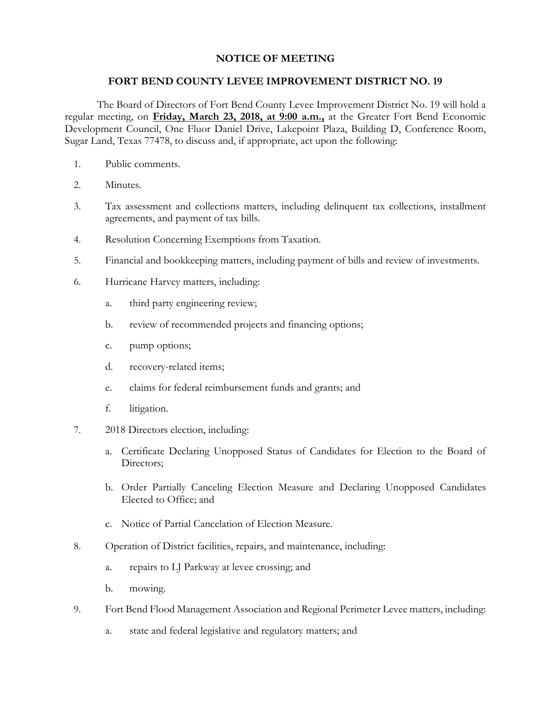## **NOTICE OF MEETING**

## **FORT BEND COUNTY LEVEE IMPROVEMENT DISTRICT NO. 19**

The Board of Directors of Fort Bend County Levee Improvement District No. 19 will hold a regular meeting, on **Friday, March 23, 2018, at 9:00 a.m.,** at the Greater Fort Bend Economic Development Council, One Fluor Daniel Drive, Lakepoint Plaza, Building D, Conference Room, Sugar Land, Texas 77478, to discuss and, if appropriate, act upon the following:

- 1. Public comments.
- 2. Minutes.
- 3. Tax assessment and collections matters, including delinquent tax collections, installment agreements, and payment of tax bills.
- 4. Resolution Concerning Exemptions from Taxation.
- 5. Financial and bookkeeping matters, including payment of bills and review of investments.
- 6. Hurricane Harvey matters, including:
	- a. third party engineering review;
	- b. review of recommended projects and financing options;
	- c. pump options;
	- d. recovery-related items;
	- e. claims for federal reimbursement funds and grants; and
	- f. litigation.
- 7. 2018 Directors election, including:
	- a. Certificate Declaring Unopposed Status of Candidates for Election to the Board of Directors;
	- b. Order Partially Canceling Election Measure and Declaring Unopposed Candidates Elected to Office; and
	- c. Notice of Partial Cancelation of Election Measure.
- 8. Operation of District facilities, repairs, and maintenance, including:
	- a. repairs to LJ Parkway at levee crossing; and
	- b. mowing.
- 9. Fort Bend Flood Management Association and Regional Perimeter Levee matters, including:
	- a. state and federal legislative and regulatory matters; and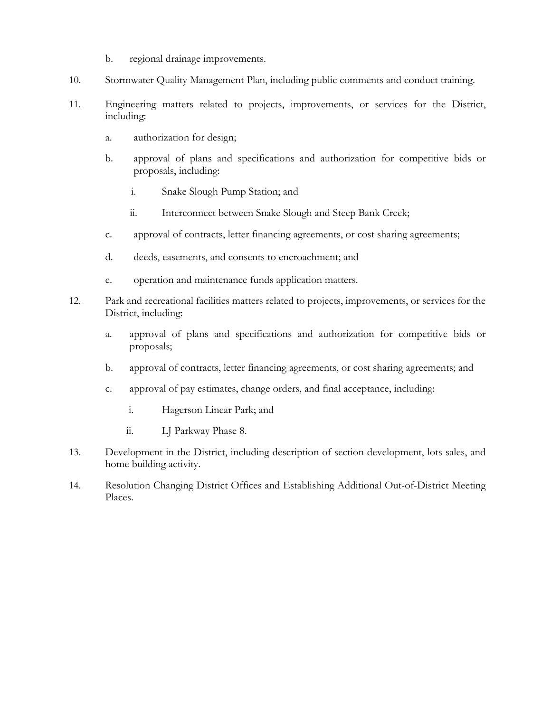- b. regional drainage improvements.
- 10. Stormwater Quality Management Plan, including public comments and conduct training.
- 11. Engineering matters related to projects, improvements, or services for the District, including:
	- a. authorization for design;
	- b. approval of plans and specifications and authorization for competitive bids or proposals, including:
		- i. Snake Slough Pump Station; and
		- ii. Interconnect between Snake Slough and Steep Bank Creek;
	- c. approval of contracts, letter financing agreements, or cost sharing agreements;
	- d. deeds, easements, and consents to encroachment; and
	- e. operation and maintenance funds application matters.
- 12. Park and recreational facilities matters related to projects, improvements, or services for the District, including:
	- a. approval of plans and specifications and authorization for competitive bids or proposals;
	- b. approval of contracts, letter financing agreements, or cost sharing agreements; and
	- c. approval of pay estimates, change orders, and final acceptance, including:
		- i. Hagerson Linear Park; and
		- ii. LJ Parkway Phase 8.
- 13. Development in the District, including description of section development, lots sales, and home building activity.
- 14. Resolution Changing District Offices and Establishing Additional Out-of-District Meeting Places.